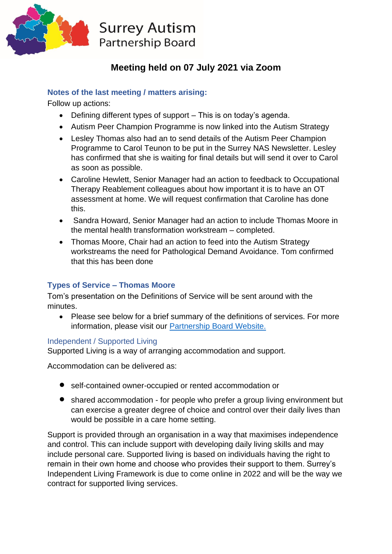

# **Meeting held on 07 July 2021 via Zoom**

# **Notes of the last meeting / matters arising:**

Follow up actions:

- Defining different types of support This is on today's agenda.
- Autism Peer Champion Programme is now linked into the Autism Strategy
- Lesley Thomas also had an to send details of the Autism Peer Champion Programme to Carol Teunon to be put in the Surrey NAS Newsletter. Lesley has confirmed that she is waiting for final details but will send it over to Carol as soon as possible.
- Caroline Hewlett, Senior Manager had an action to feedback to Occupational Therapy Reablement colleagues about how important it is to have an OT assessment at home. We will request confirmation that Caroline has done this.
- Sandra Howard, Senior Manager had an action to include Thomas Moore in the mental health transformation workstream – completed.
- Thomas Moore, Chair had an action to feed into the Autism Strategy workstreams the need for Pathological Demand Avoidance. Tom confirmed that this has been done

# **Types of Service – Thomas Moore**

Tom's presentation on the Definitions of Service will be sent around with the minutes.

• Please see below for a brief summary of the definitions of services. For more information, please visit our [Partnership Board Website.](https://www.surreycc.gov.uk/adults/disabilities/spb)

# Independent / Supported Living

Supported Living is a way of arranging accommodation and support.

Accommodation can be delivered as:

- self-contained owner-occupied or rented accommodation or
- shared accommodation for people who prefer a group living environment but can exercise a greater degree of choice and control over their daily lives than would be possible in a care home setting.

Support is provided through an organisation in a way that maximises independence and control. This can include support with developing daily living skills and may include personal care. Supported living is based on individuals having the right to remain in their own home and choose who provides their support to them. Surrey's Independent Living Framework is due to come online in 2022 and will be the way we contract for supported living services.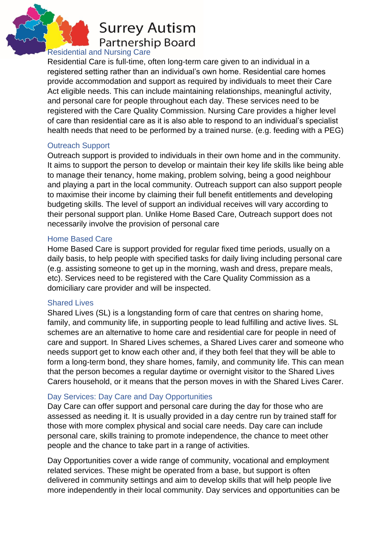**Surrey Autism Partnership Board** 

#### Residential and Nursing Care

Residential Care is full-time, often long-term care given to an individual in a registered setting rather than an individual's own home. Residential care homes provide accommodation and support as required by individuals to meet their Care Act eligible needs. This can include maintaining relationships, meaningful activity, and personal care for people throughout each day. These services need to be registered with the Care Quality Commission. Nursing Care provides a higher level of care than residential care as it is also able to respond to an individual's specialist health needs that need to be performed by a trained nurse. (e.g. feeding with a PEG)

#### Outreach Support

Outreach support is provided to individuals in their own home and in the community. It aims to support the person to develop or maintain their key life skills like being able to manage their tenancy, home making, problem solving, being a good neighbour and playing a part in the local community. Outreach support can also support people to maximise their income by claiming their full benefit entitlements and developing budgeting skills. The level of support an individual receives will vary according to their personal support plan. Unlike Home Based Care, Outreach support does not necessarily involve the provision of personal care

#### Home Based Care

Home Based Care is support provided for regular fixed time periods, usually on a daily basis, to help people with specified tasks for daily living including personal care (e.g. assisting someone to get up in the morning, wash and dress, prepare meals, etc). Services need to be registered with the Care Quality Commission as a domiciliary care provider and will be inspected.

#### Shared Lives

Shared Lives (SL) is a longstanding form of care that centres on sharing home, family, and community life, in supporting people to lead fulfilling and active lives. SL schemes are an alternative to home care and residential care for people in need of care and support. In Shared Lives schemes, a Shared Lives carer and someone who needs support get to know each other and, if they both feel that they will be able to form a long-term bond, they share homes, family, and community life. This can mean that the person becomes a regular daytime or overnight visitor to the Shared Lives Carers household, or it means that the person moves in with the Shared Lives Carer.

# Day Services: Day Care and Day Opportunities

Day Care can offer support and personal care during the day for those who are assessed as needing it. It is usually provided in a day centre run by trained staff for those with more complex physical and social care needs. Day care can include personal care, skills training to promote independence, the chance to meet other people and the chance to take part in a range of activities.

Day Opportunities cover a wide range of community, vocational and employment related services. These might be operated from a base, but support is often delivered in community settings and aim to develop skills that will help people live more independently in their local community. Day services and opportunities can be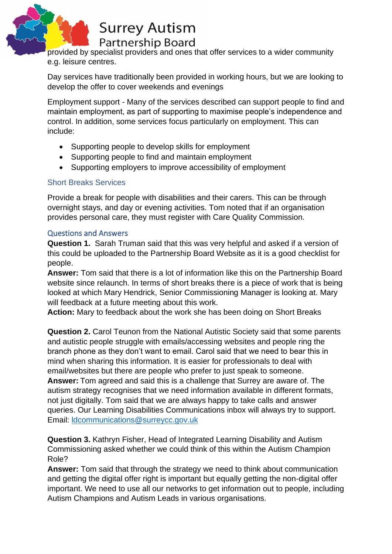**Surrey Autism** 

# **Partnership Board**

provided by specialist providers and ones that offer services to a wider community e.g. leisure centres.

Day services have traditionally been provided in working hours, but we are looking to develop the offer to cover weekends and evenings

Employment support - Many of the services described can support people to find and maintain employment, as part of supporting to maximise people's independence and control. In addition, some services focus particularly on employment. This can include:

- Supporting people to develop skills for employment
- Supporting people to find and maintain employment
- Supporting employers to improve accessibility of employment

#### Short Breaks Services

Provide a break for people with disabilities and their carers. This can be through overnight stays, and day or evening activities. Tom noted that if an organisation provides personal care, they must register with Care Quality Commission.

#### Questions and Answers

**Question 1.** Sarah Truman said that this was very helpful and asked if a version of this could be uploaded to the Partnership Board Website as it is a good checklist for people.

**Answer:** Tom said that there is a lot of information like this on the Partnership Board website since relaunch. In terms of short breaks there is a piece of work that is being looked at which Mary Hendrick, Senior Commissioning Manager is looking at. Mary will feedback at a future meeting about this work.

**Action:** Mary to feedback about the work she has been doing on Short Breaks

**Question 2.** Carol Teunon from the National Autistic Society said that some parents and autistic people struggle with emails/accessing websites and people ring the branch phone as they don't want to email. Carol said that we need to bear this in mind when sharing this information. It is easier for professionals to deal with email/websites but there are people who prefer to just speak to someone. **Answer:** Tom agreed and said this is a challenge that Surrey are aware of. The autism strategy recognises that we need information available in different formats, not just digitally. Tom said that we are always happy to take calls and answer queries. Our Learning Disabilities Communications inbox will always try to support. Email: [ldcommunications@surreycc.gov.uk](mailto:ldcommunications@surreycc.gov.uk)

**Question 3.** Kathryn Fisher, Head of Integrated Learning Disability and Autism Commissioning asked whether we could think of this within the Autism Champion Role?

**Answer:** Tom said that through the strategy we need to think about communication and getting the digital offer right is important but equally getting the non-digital offer important. We need to use all our networks to get information out to people, including Autism Champions and Autism Leads in various organisations.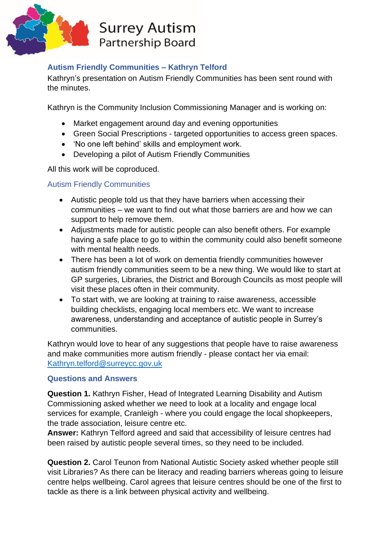

# **Autism Friendly Communities – Kathryn Telford**

Kathryn's presentation on Autism Friendly Communities has been sent round with the minutes.

Kathryn is the Community Inclusion Commissioning Manager and is working on:

- Market engagement around day and evening opportunities
- Green Social Prescriptions targeted opportunities to access green spaces.
- 'No one left behind' skills and employment work.
- Developing a pilot of Autism Friendly Communities

All this work will be coproduced.

#### Autism Friendly Communities

- Autistic people told us that they have barriers when accessing their communities – we want to find out what those barriers are and how we can support to help remove them.
- Adjustments made for autistic people can also benefit others. For example having a safe place to go to within the community could also benefit someone with mental health needs.
- There has been a lot of work on dementia friendly communities however autism friendly communities seem to be a new thing. We would like to start at GP surgeries, Libraries, the District and Borough Councils as most people will visit these places often in their community.
- To start with, we are looking at training to raise awareness, accessible building checklists, engaging local members etc. We want to increase awareness, understanding and acceptance of autistic people in Surrey's communities.

Kathryn would love to hear of any suggestions that people have to raise awareness and make communities more autism friendly - please contact her via email: [Kathryn.telford@surreycc.gov.uk](mailto:Kathryn.telford@surreycc.gov.uk)

#### **Questions and Answers**

**Question 1.** Kathryn Fisher, Head of Integrated Learning Disability and Autism Commissioning asked whether we need to look at a locality and engage local services for example, Cranleigh - where you could engage the local shopkeepers, the trade association, leisure centre etc.

**Answer:** Kathryn Telford agreed and said that accessibility of leisure centres had been raised by autistic people several times, so they need to be included.

**Question 2.** Carol Teunon from National Autistic Society asked whether people still visit Libraries? As there can be literacy and reading barriers whereas going to leisure centre helps wellbeing. Carol agrees that leisure centres should be one of the first to tackle as there is a link between physical activity and wellbeing.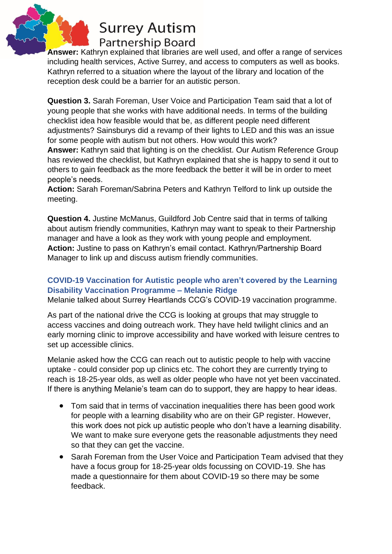# **Surrey Autism**

**Partnership Board** 

Answer: Kathryn explained that libraries are well used, and offer a range of services including health services, Active Surrey, and access to computers as well as books. Kathryn referred to a situation where the layout of the library and location of the reception desk could be a barrier for an autistic person.

**Question 3.** Sarah Foreman, User Voice and Participation Team said that a lot of young people that she works with have additional needs. In terms of the building checklist idea how feasible would that be, as different people need different adjustments? Sainsburys did a revamp of their lights to LED and this was an issue for some people with autism but not others. How would this work?

**Answer:** Kathryn said that lighting is on the checklist. Our Autism Reference Group has reviewed the checklist, but Kathryn explained that she is happy to send it out to others to gain feedback as the more feedback the better it will be in order to meet people's needs.

**Action:** Sarah Foreman/Sabrina Peters and Kathryn Telford to link up outside the meeting.

**Question 4.** Justine McManus, Guildford Job Centre said that in terms of talking about autism friendly communities, Kathryn may want to speak to their Partnership manager and have a look as they work with young people and employment. **Action:** Justine to pass on Kathryn's email contact. Kathryn/Partnership Board Manager to link up and discuss autism friendly communities.

# **COVID-19 Vaccination for Autistic people who aren't covered by the Learning Disability Vaccination Programme – Melanie Ridge**

Melanie talked about Surrey Heartlands CCG's COVID-19 vaccination programme.

As part of the national drive the CCG is looking at groups that may struggle to access vaccines and doing outreach work. They have held twilight clinics and an early morning clinic to improve accessibility and have worked with leisure centres to set up accessible clinics.

Melanie asked how the CCG can reach out to autistic people to help with vaccine uptake - could consider pop up clinics etc. The cohort they are currently trying to reach is 18-25-year olds, as well as older people who have not yet been vaccinated. If there is anything Melanie's team can do to support, they are happy to hear ideas.

- Tom said that in terms of vaccination inequalities there has been good work for people with a learning disability who are on their GP register. However, this work does not pick up autistic people who don't have a learning disability. We want to make sure everyone gets the reasonable adjustments they need so that they can get the vaccine.
- Sarah Foreman from the User Voice and Participation Team advised that they have a focus group for 18-25-year olds focussing on COVID-19. She has made a questionnaire for them about COVID-19 so there may be some feedback.